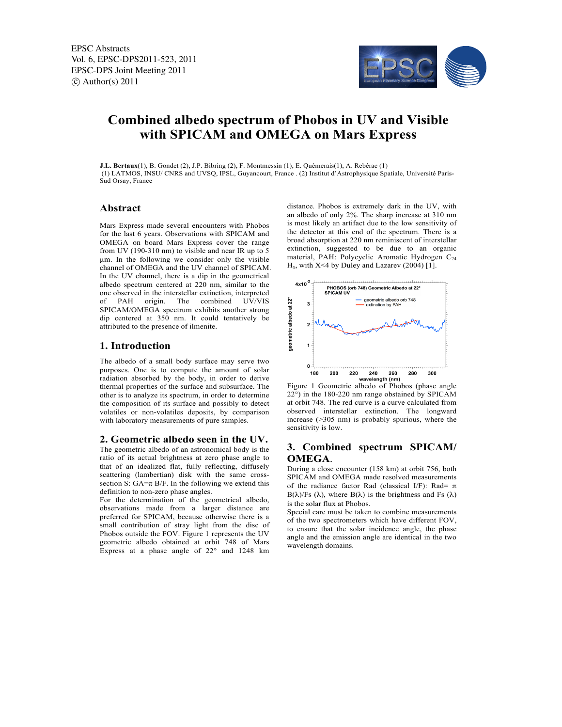

# **Combined albedo spectrum of Phobos in UV and Visible with SPICAM and OMEGA on Mars Express**

**J.L. Bertaux**(1), B. Gondet (2), J.P. Bibring (2), F. Montmessin (1), E. Quémerais(1), A. Rebérac (1) (1) LATMOS, INSU/ CNRS and UVSQ, IPSL, Guyancourt, France . (2) Institut d'Astrophysique Spatiale, Université Paris-Sud Orsay, France

## **Abstract**

Mars Express made several encounters with Phobos for the last 6 years. Observations with SPICAM and OMEGA on board Mars Express cover the range from UV (190-310 nm) to visible and near IR up to 5 µm. In the following we consider only the visible channel of OMEGA and the UV channel of SPICAM. In the UV channel, there is a dip in the geometrical albedo spectrum centered at 220 nm, similar to the one observed in the interstellar extinction, interpreted<br>of PAH origin The combined UV/VIS of PAH origin. The combined SPICAM/OMEGA spectrum exhibits another strong dip centered at 350 nm. It could tentatively be attributed to the presence of ilmenite.

## **1. Introduction**

The albedo of a small body surface may serve two purposes. One is to compute the amount of solar radiation absorbed by the body, in order to derive thermal properties of the surface and subsurface. The other is to analyze its spectrum, in order to determine the composition of its surface and possibly to detect volatiles or non-volatiles deposits, by comparison with laboratory measurements of pure samples.

## **2. Geometric albedo seen in the UV.**

The geometric albedo of an astronomical body is the ratio of its actual brightness at zero phase angle to that of an idealized flat, fully reflecting, diffusely scattering (lambertian) disk with the same crosssection S:  $GA = \pi B/F$ . In the following we extend this definition to non-zero phase angles.

For the determination of the geometrical albedo, observations made from a larger distance are preferred for SPICAM, because otherwise there is a small contribution of stray light from the disc of Phobos outside the FOV. Figure 1 represents the UV geometric albedo obtained at orbit 748 of Mars Express at a phase angle of 22° and 1248 km distance. Phobos is extremely dark in the UV, with an albedo of only 2%. The sharp increase at 310 nm is most likely an artifact due to the low sensitivity of the detector at this end of the spectrum. There is a broad absorption at 220 nm reminiscent of interstellar extinction, suggested to be due to an organic material, PAH: Polycyclic Aromatic Hydrogen C<sub>24</sub>  $H_x$ , with X<4 by Duley and Lazarev (2004) [1].



Figure 1 Geometric albedo of Phobos (phase angle 22°) in the 180-220 nm range obstained by SPICAM at orbit 748. The red curve is a curve calculated from observed interstellar extinction. The longward increase (>305 nm) is probably spurious, where the sensitivity is low.

# **3. Combined spectrum SPICAM/ OMEGA**.

During a close encounter (158 km) at orbit 756, both SPICAM and OMEGA made resolved measurements of the radiance factor Rad (classical I/F): Rad=  $\pi$  $B(\lambda)/Fs$  ( $\lambda$ ), where  $B(\lambda)$  is the brightness and Fs ( $\lambda$ ) is the solar flux at Phobos.

Special care must be taken to combine measurements of the two spectrometers which have different FOV, to ensure that the solar incidence angle, the phase angle and the emission angle are identical in the two wavelength domains.